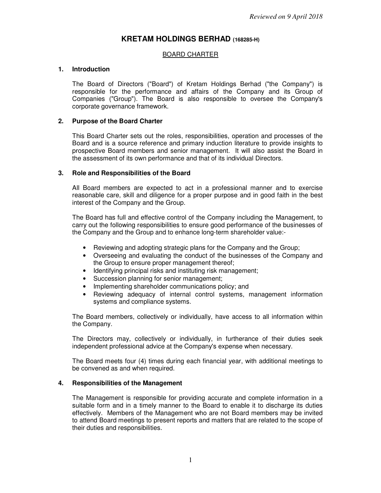# **KRETAM HOLDINGS BERHAD (168285-H)**

### BOARD CHARTER

#### **1. Introduction**

 The Board of Directors ("Board") of Kretam Holdings Berhad ("the Company") is responsible for the performance and affairs of the Company and its Group of Companies ("Group"). The Board is also responsible to oversee the Company's corporate governance framework.

#### **2. Purpose of the Board Charter**

This Board Charter sets out the roles, responsibilities, operation and processes of the Board and is a source reference and primary induction literature to provide insights to prospective Board members and senior management. It will also assist the Board in the assessment of its own performance and that of its individual Directors.

#### **3. Role and Responsibilities of the Board**

All Board members are expected to act in a professional manner and to exercise reasonable care, skill and diligence for a proper purpose and in good faith in the best interest of the Company and the Group.

The Board has full and effective control of the Company including the Management, to carry out the following responsibilities to ensure good performance of the businesses of the Company and the Group and to enhance long-term shareholder value:-

- Reviewing and adopting strategic plans for the Company and the Group;
- Overseeing and evaluating the conduct of the businesses of the Company and the Group to ensure proper management thereof;
- Identifying principal risks and instituting risk management;
- Succession planning for senior management;
- Implementing shareholder communications policy; and
- Reviewing adequacy of internal control systems, management information systems and compliance systems.

The Board members, collectively or individually, have access to all information within the Company.

The Directors may, collectively or individually, in furtherance of their duties seek independent professional advice at the Company's expense when necessary.

The Board meets four (4) times during each financial year, with additional meetings to be convened as and when required.

#### **4. Responsibilities of the Management**

The Management is responsible for providing accurate and complete information in a suitable form and in a timely manner to the Board to enable it to discharge its duties effectively. Members of the Management who are not Board members may be invited to attend Board meetings to present reports and matters that are related to the scope of their duties and responsibilities.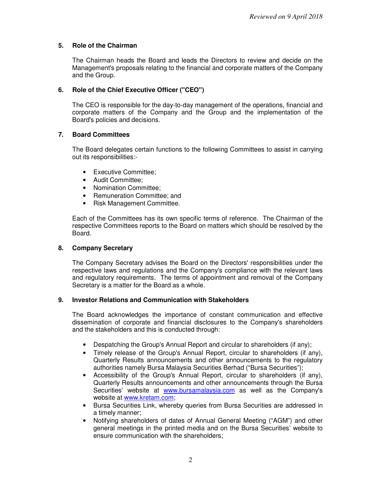# **5. Role of the Chairman**

The Chairman heads the Board and leads the Directors to review and decide on the Management's proposals relating to the financial and corporate matters of the Company and the Group.

# **6. Role of the Chief Executive Officer ("CEO")**

The CEO is responsible for the day-to-day management of the operations, financial and corporate matters of the Company and the Group and the implementation of the Board's policies and decisions.

# **7. Board Committees**

The Board delegates certain functions to the following Committees to assist in carrying out its responsibilities:-

- Executive Committee;
- Audit Committee;
- Nomination Committee:
- Remuneration Committee: and
- Risk Management Committee.

Each of the Committees has its own specific terms of reference. The Chairman of the respective Committees reports to the Board on matters which should be resolved by the Board.

### **8. Company Secretary**

The Company Secretary advises the Board on the Directors' responsibilities under the respective laws and regulations and the Company's compliance with the relevant laws and regulatory requirements. The terms of appointment and removal of the Company Secretary is a matter for the Board as a whole.

### **9. Investor Relations and Communication with Stakeholders**

The Board acknowledges the importance of constant communication and effective dissemination of corporate and financial disclosures to the Company's shareholders and the stakeholders and this is conducted through:

- Despatching the Group's Annual Report and circular to shareholders (if any);
- Timely release of the Group's Annual Report, circular to shareholders (if any), Quarterly Results announcements and other announcements to the regulatory authorities namely Bursa Malaysia Securities Berhad ("Bursa Securities");
- Accessibility of the Group's Annual Report, circular to shareholders (if any), Quarterly Results announcements and other announcements through the Bursa Securities' website at www.bursamalaysia.com as well as the Company's website at www.kretam.com;
- Bursa Securities Link, whereby queries from Bursa Securities are addressed in a timely manner;
- Notifying shareholders of dates of Annual General Meeting ("AGM") and other general meetings in the printed media and on the Bursa Securities' website to ensure communication with the shareholders;